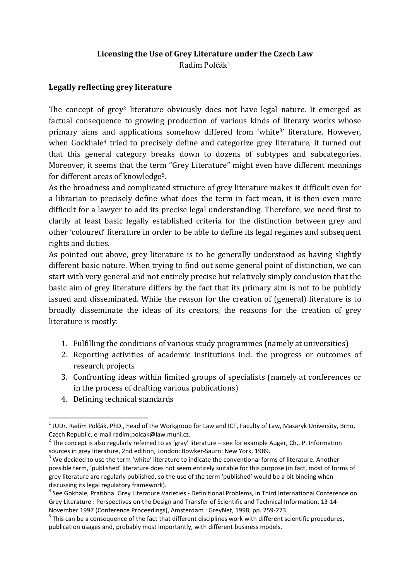# Licensing the Use of Grey Literature under the Czech Law Radim Polčák<sup>1</sup>

# Legally reflecting grey literature

The concept of grey<sup>2</sup> literature obviously does not have legal nature. It emerged as factual consequence to growing production of various kinds of literary works whose primary aims and applications somehow differed from 'white3' literature. However, when Gockhale<sup>4</sup> tried to precisely define and categorize grey literature, it turned out that this general category breaks down to dozens of subtypes and subcategories. Moreover, it seems that the term "Grey Literature" might even have different meanings for different areas of knowledge5.

As the broadness and complicated structure of grey literature makes it difficult even for a librarian to precisely define what does the term in fact mean, it is then even more difficult for a lawyer to add its precise legal understanding. Therefore, we need first to clarify at least basic legally established criteria for the distinction between grey and other 'coloured' literature in order to be able to define its legal regimes and subsequent rights and duties.

As pointed out above, grey literature is to be generally understood as having slightly different basic nature. When trying to find out some general point of distinction, we can start with very general and not entirely precise but relatively simply conclusion that the basic aim of grey literature differs by the fact that its primary aim is not to be publicly issued and disseminated. While the reason for the creation of (general) literature is to broadly disseminate the ideas of its creators, the reasons for the creation of grey literature is mostly:

- 1. Fulfilling the conditions of various study programmes (namely at universities)
- 2. Reporting activities of academic institutions incl. the progress or outcomes of research projects
- 3. Confronting ideas within limited groups of specialists (namely at conferences or in the process of drafting various publications)
- 4. Defining technical standards

  $^{\text{1}}$  JUDr. Radim Polčák, PhD., head of the Workgroup for Law and ICT, Faculty of Law, Masaryk University, Brno, Czech Republic, e-mail radim.polcak@law.muni.cz.

<sup>&</sup>lt;sup>2</sup> The concept is also regularly referred to as 'gray' literature – see for example Auger, Ch., P. Information sources in grey literature, 2nd edition, London: Bowker-Saurn: New York, 1989.

 $3$  We decided to use the term 'white' literature to indicate the conventional forms of literature. Another possible term, 'published' literature does not seem entirely suitable for this purpose (in fact, most of forms of grey literature are regularly published, so the use of the term 'published' would be a bit binding when discussing its legal regulatory framework).

<sup>&</sup>lt;sup>4</sup> See Gokhale, Pratibha. Grey Literature Varieties - Definitional Problems, in Third International Conference on Grey Literature : Perspectives on the Design and Transfer of Scientific and Technical Information, 13-14 November 1997 (Conference Proceedings), Amsterdam : GreyNet, 1998, pp. 259-273.

 $<sup>5</sup>$  This can be a consequence of the fact that different disciplines work with different scientific procedures,</sup> publication usages and, probably most importantly, with different business models.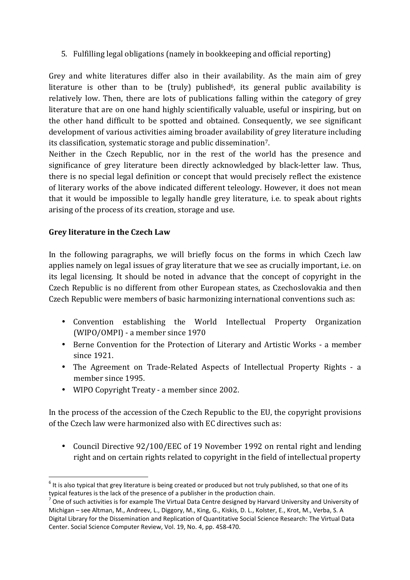5. Fulfilling legal obligations (namely in bookkeeping and official reporting)

Grey and white literatures differ also in their availability. As the main aim of grey literature is other than to be (truly) published<sup>6</sup>, its general public availability is relatively low. Then, there are lots of publications falling within the category of grey literature that are on one hand highly scientifically valuable, useful or inspiring, but on the other hand difficult to be spotted and obtained. Consequently, we see significant development of various activities aiming broader availability of grey literature including its classification, systematic storage and public dissemination7.

Neither in the Czech Republic, nor in the rest of the world has the presence and significance of grey literature been directly acknowledged by black-letter law. Thus, there is no special legal definition or concept that would precisely reflect the existence of literary works of the above indicated different teleology. However, it does not mean that it would be impossible to legally handle grey literature, i.e. to speak about rights arising of the process of its creation, storage and use.

#### Grey literature in the Czech Law

In the following paragraphs, we will briefly focus on the forms in which Czech law applies namely on legal issues of gray literature that we see as crucially important, i.e. on its legal licensing. It should be noted in advance that the concept of copyright in the Czech Republic is no different from other European states, as Czechoslovakia and then Czech Republic were members of basic harmonizing international conventions such as:

- Convention establishing the World Intellectual Property Organization (WIPO/OMPI) - a member since 1970
- Berne Convention for the Protection of Literary and Artistic Works a member since 1921.
- The Agreement on Trade-Related Aspects of Intellectual Property Rights a member since 1995.
- WIPO Copyright Treaty a member since 2002.

In the process of the accession of the Czech Republic to the EU, the copyright provisions of the Czech law were harmonized also with EC directives such as:

• Council Directive 92/100/EEC of 19 November 1992 on rental right and lending right and on certain rights related to copyright in the field of intellectual property

 $<sup>6</sup>$  It is also typical that grey literature is being created or produced but not truly published, so that one of its</sup> typical features is the lack of the presence of a publisher in the production chain.

<sup>7</sup> One of such activities is for example The Virtual Data Centre designed by Harvard University and University of Michigan – see Altman, M., Andreev, L., Diggory, M., King, G., Kiskis, D. L., Kolster, E., Krot, M., Verba, S. A Digital Library for the Dissemination and Replication of Quantitative Social Science Research: The Virtual Data Center. Social Science Computer Review, Vol. 19, No. 4, pp. 458-470.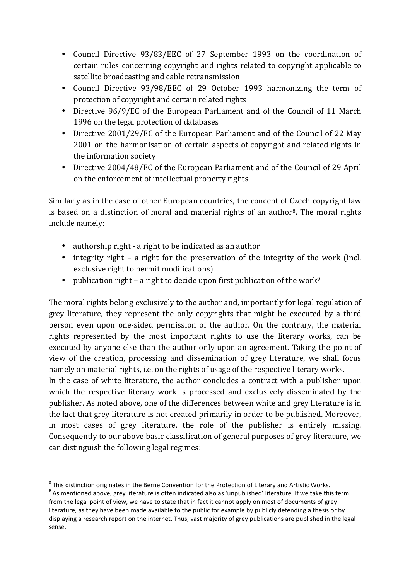- Council Directive 93/83/EEC of 27 September 1993 on the coordination of certain rules concerning copyright and rights related to copyright applicable to satellite broadcasting and cable retransmission
- Council Directive 93/98/EEC of 29 October 1993 harmonizing the term of protection of copyright and certain related rights
- Directive 96/9/EC of the European Parliament and of the Council of 11 March 1996 on the legal protection of databases
- Directive 2001/29/EC of the European Parliament and of the Council of 22 May 2001 on the harmonisation of certain aspects of copyright and related rights in the information society
- Directive 2004/48/EC of the European Parliament and of the Council of 29 April on the enforcement of intellectual property rights

Similarly as in the case of other European countries, the concept of Czech copyright law is based on a distinction of moral and material rights of an author<sup>8</sup>. The moral rights include namely:

- authorship right a right to be indicated as an author
- integrity right a right for the preservation of the integrity of the work (incl. exclusive right to permit modifications)
- publication right a right to decide upon first publication of the work<sup>9</sup>

The moral rights belong exclusively to the author and, importantly for legal regulation of grey literature, they represent the only copyrights that might be executed by a third person even upon one-sided permission of the author. On the contrary, the material rights represented by the most important rights to use the literary works, can be executed by anyone else than the author only upon an agreement. Taking the point of view of the creation, processing and dissemination of grey literature, we shall focus namely on material rights, i.e. on the rights of usage of the respective literary works.

In the case of white literature, the author concludes a contract with a publisher upon which the respective literary work is processed and exclusively disseminated by the publisher. As noted above, one of the differences between white and grey literature is in the fact that grey literature is not created primarily in order to be published. Moreover, in most cases of grey literature, the role of the publisher is entirely missing. Consequently to our above basic classification of general purposes of grey literature, we can distinguish the following legal regimes:

  $^8$  This distinction originates in the Berne Convention for the Protection of Literary and Artistic Works.

 $^9$  As mentioned above, grey literature is often indicated also as 'unpublished' literature. If we take this term from the legal point of view, we have to state that in fact it cannot apply on most of documents of grey literature, as they have been made available to the public for example by publicly defending a thesis or by displaying a research report on the internet. Thus, vast majority of grey publications are published in the legal sense.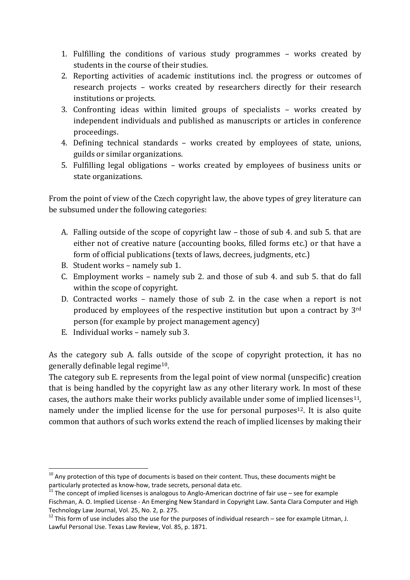- 1. Fulfilling the conditions of various study programmes works created by students in the course of their studies.
- 2. Reporting activities of academic institutions incl. the progress or outcomes of research projects – works created by researchers directly for their research institutions or projects.
- 3. Confronting ideas within limited groups of specialists works created by independent individuals and published as manuscripts or articles in conference proceedings.
- 4. Defining technical standards works created by employees of state, unions, guilds or similar organizations.
- 5. Fulfilling legal obligations works created by employees of business units or state organizations.

From the point of view of the Czech copyright law, the above types of grey literature can be subsumed under the following categories:

- A. Falling outside of the scope of copyright law those of sub 4. and sub 5. that are either not of creative nature (accounting books, filled forms etc.) or that have a form of official publications (texts of laws, decrees, judgments, etc.)
- B. Student works namely sub 1.
- C. Employment works namely sub 2. and those of sub 4. and sub 5. that do fall within the scope of copyright.
- D. Contracted works namely those of sub 2. in the case when a report is not produced by employees of the respective institution but upon a contract by 3rd person (for example by project management agency)
- E. Individual works namely sub 3.

l

As the category sub A. falls outside of the scope of copyright protection, it has no generally definable legal regime10.

The category sub E. represents from the legal point of view normal (unspecific) creation that is being handled by the copyright law as any other literary work. In most of these cases, the authors make their works publicly available under some of implied licenses<sup>11</sup>, namely under the implied license for the use for personal purposes<sup>12</sup>. It is also quite common that authors of such works extend the reach of implied licenses by making their

 $10$  Any protection of this type of documents is based on their content. Thus, these documents might be particularly protected as know-how, trade secrets, personal data etc.

<sup>&</sup>lt;sup>11</sup> The concept of implied licenses is analogous to Anglo-American doctrine of fair use – see for example Fischman, A. O. Implied License - An Emerging New Standard in Copyright Law. Santa Clara Computer and High Technology Law Journal, Vol. 25, No. 2, p. 275.

 $12$  This form of use includes also the use for the purposes of individual research – see for example Litman, J. Lawful Personal Use. Texas Law Review, Vol. 85, p. 1871.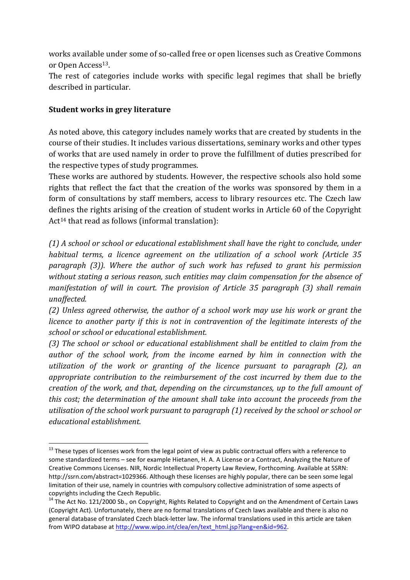works available under some of so-called free or open licenses such as Creative Commons or Open Access<sup>13</sup>.

The rest of categories include works with specific legal regimes that shall be briefly described in particular.

### Student works in grey literature

l

As noted above, this category includes namely works that are created by students in the course of their studies. It includes various dissertations, seminary works and other types of works that are used namely in order to prove the fulfillment of duties prescribed for the respective types of study programmes.

These works are authored by students. However, the respective schools also hold some rights that reflect the fact that the creation of the works was sponsored by them in a form of consultations by staff members, access to library resources etc. The Czech law defines the rights arising of the creation of student works in Article 60 of the Copyright Act<sup>14</sup> that read as follows (informal translation):

(1) A school or school or educational establishment shall have the right to conclude, under habitual terms, a licence agreement on the utilization of a school work (Article 35 paragraph (3)). Where the author of such work has refused to grant his permission without stating a serious reason, such entities may claim compensation for the absence of manifestation of will in court. The provision of Article 35 paragraph (3) shall remain unaffected.

(2) Unless agreed otherwise, the author of a school work may use his work or grant the licence to another party if this is not in contravention of the legitimate interests of the school or school or educational establishment.

(3) The school or school or educational establishment shall be entitled to claim from the author of the school work, from the income earned by him in connection with the utilization of the work or granting of the licence pursuant to paragraph (2), an appropriate contribution to the reimbursement of the cost incurred by them due to the creation of the work, and that, depending on the circumstances, up to the full amount of this cost; the determination of the amount shall take into account the proceeds from the utilisation of the school work pursuant to paragraph (1) received by the school or school or educational establishment.

<sup>&</sup>lt;sup>13</sup> These types of licenses work from the legal point of view as public contractual offers with a reference to some standardized terms – see for example Hietanen, H. A. A License or a Contract, Analyzing the Nature of Creative Commons Licenses. NIR, Nordic Intellectual Property Law Review, Forthcoming. Available at SSRN: http://ssrn.com/abstract=1029366. Although these licenses are highly popular, there can be seen some legal limitation of their use, namely in countries with compulsory collective administration of some aspects of copyrights including the Czech Republic.

<sup>&</sup>lt;sup>14</sup> The Act No. 121/2000 Sb., on Copyright, Rights Related to Copyright and on the Amendment of Certain Laws (Copyright Act). Unfortunately, there are no formal translations of Czech laws available and there is also no general database of translated Czech black-letter law. The informal translations used in this article are taken from WIPO database at http://www.wipo.int/clea/en/text\_html.jsp?lang=en&id=962.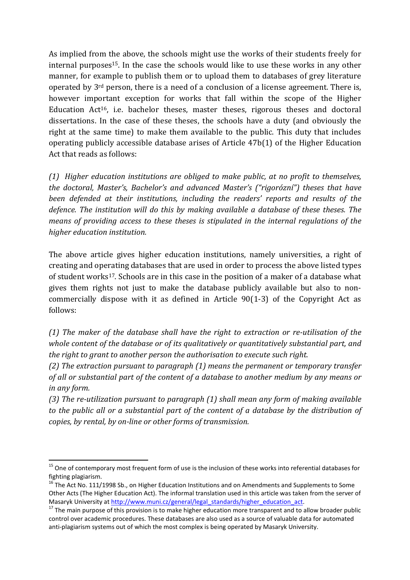As implied from the above, the schools might use the works of their students freely for internal purposes<sup>15</sup>. In the case the schools would like to use these works in any other manner, for example to publish them or to upload them to databases of grey literature operated by 3rd person, there is a need of a conclusion of a license agreement. There is, however important exception for works that fall within the scope of the Higher Education Act16, i.e. bachelor theses, master theses, rigorous theses and doctoral dissertations. In the case of these theses, the schools have a duty (and obviously the right at the same time) to make them available to the public. This duty that includes operating publicly accessible database arises of Article 47b(1) of the Higher Education Act that reads as follows:

(1) Higher education institutions are obliged to make public, at no profit to themselves, the doctoral, Master's, Bachelor's and advanced Master's ("rigorózní") theses that have been defended at their institutions, including the readers' reports and results of the defence. The institution will do this by making available a database of these theses. The means of providing access to these theses is stipulated in the internal regulations of the higher education institution.

The above article gives higher education institutions, namely universities, a right of creating and operating databases that are used in order to process the above listed types of student works17. Schools are in this case in the position of a maker of a database what gives them rights not just to make the database publicly available but also to noncommercially dispose with it as defined in Article 90(1-3) of the Copyright Act as follows:

(1) The maker of the database shall have the right to extraction or re-utilisation of the whole content of the database or of its qualitatively or quantitatively substantial part, and the right to grant to another person the authorisation to execute such right.

(2) The extraction pursuant to paragraph (1) means the permanent or temporary transfer of all or substantial part of the content of a database to another medium by any means or in any form.

(3) The re-utilization pursuant to paragraph (1) shall mean any form of making available to the public all or a substantial part of the content of a database by the distribution of copies, by rental, by on-line or other forms of transmission.

<sup>&</sup>lt;sup>15</sup> One of contemporary most frequent form of use is the inclusion of these works into referential databases for fighting plagiarism.

<sup>&</sup>lt;sup>16</sup> The Act No. 111/1998 Sb., on Higher Education Institutions and on Amendments and Supplements to Some Other Acts (The Higher Education Act). The informal translation used in this article was taken from the server of Masaryk University at http://www.muni.cz/general/legal\_standards/higher\_education\_act.

 $17$  The main purpose of this provision is to make higher education more transparent and to allow broader public control over academic procedures. These databases are also used as a source of valuable data for automated anti-plagiarism systems out of which the most complex is being operated by Masaryk University.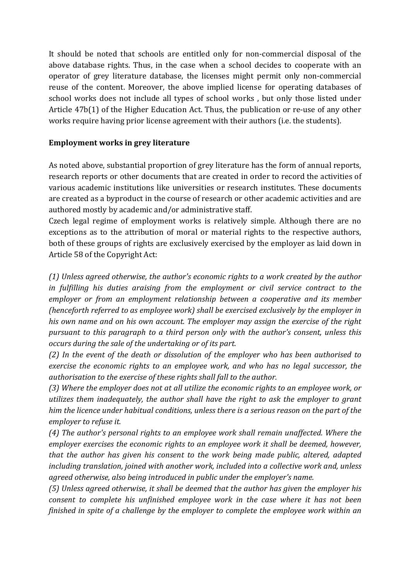It should be noted that schools are entitled only for non-commercial disposal of the above database rights. Thus, in the case when a school decides to cooperate with an operator of grey literature database, the licenses might permit only non-commercial reuse of the content. Moreover, the above implied license for operating databases of school works does not include all types of school works , but only those listed under Article 47b(1) of the Higher Education Act. Thus, the publication or re-use of any other works require having prior license agreement with their authors (i.e. the students).

# Employment works in grey literature

As noted above, substantial proportion of grey literature has the form of annual reports, research reports or other documents that are created in order to record the activities of various academic institutions like universities or research institutes. These documents are created as a byproduct in the course of research or other academic activities and are authored mostly by academic and/or administrative staff.

Czech legal regime of employment works is relatively simple. Although there are no exceptions as to the attribution of moral or material rights to the respective authors, both of these groups of rights are exclusively exercised by the employer as laid down in Article 58 of the Copyright Act:

(1) Unless agreed otherwise, the author's economic rights to a work created by the author in fulfilling his duties araising from the employment or civil service contract to the employer or from an employment relationship between a cooperative and its member (henceforth referred to as employee work) shall be exercised exclusively by the employer in his own name and on his own account. The employer may assign the exercise of the right pursuant to this paragraph to a third person only with the author's consent, unless this occurs during the sale of the undertaking or of its part.

(2) In the event of the death or dissolution of the employer who has been authorised to exercise the economic rights to an employee work, and who has no legal successor, the authorisation to the exercise of these rights shall fall to the author.

(3) Where the employer does not at all utilize the economic rights to an employee work, or utilizes them inadequately, the author shall have the right to ask the employer to grant him the licence under habitual conditions, unless there is a serious reason on the part of the employer to refuse it.

(4) The author's personal rights to an employee work shall remain unaffected. Where the employer exercises the economic rights to an employee work it shall be deemed, however, that the author has given his consent to the work being made public, altered, adapted including translation, joined with another work, included into a collective work and, unless agreed otherwise, also being introduced in public under the employer's name.

(5) Unless agreed otherwise, it shall be deemed that the author has given the employer his consent to complete his unfinished employee work in the case where it has not been finished in spite of a challenge by the employer to complete the employee work within an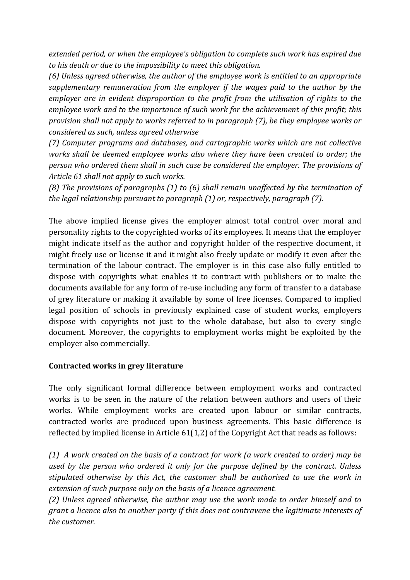extended period, or when the employee's obligation to complete such work has expired due to his death or due to the impossibility to meet this obligation.

(6) Unless agreed otherwise, the author of the employee work is entitled to an appropriate supplementary remuneration from the employer if the wages paid to the author by the employer are in evident disproportion to the profit from the utilisation of rights to the employee work and to the importance of such work for the achievement of this profit; this provision shall not apply to works referred to in paragraph (7), be they employee works or considered as such, unless agreed otherwise

(7) Computer programs and databases, and cartographic works which are not collective works shall be deemed employee works also where they have been created to order; the person who ordered them shall in such case be considered the employer. The provisions of Article 61 shall not apply to such works.

(8) The provisions of paragraphs (1) to (6) shall remain unaffected by the termination of the legal relationship pursuant to paragraph (1) or, respectively, paragraph (7).

The above implied license gives the employer almost total control over moral and personality rights to the copyrighted works of its employees. It means that the employer might indicate itself as the author and copyright holder of the respective document, it might freely use or license it and it might also freely update or modify it even after the termination of the labour contract. The employer is in this case also fully entitled to dispose with copyrights what enables it to contract with publishers or to make the documents available for any form of re-use including any form of transfer to a database of grey literature or making it available by some of free licenses. Compared to implied legal position of schools in previously explained case of student works, employers dispose with copyrights not just to the whole database, but also to every single document. Moreover, the copyrights to employment works might be exploited by the employer also commercially.

### Contracted works in grey literature

The only significant formal difference between employment works and contracted works is to be seen in the nature of the relation between authors and users of their works. While employment works are created upon labour or similar contracts, contracted works are produced upon business agreements. This basic difference is reflected by implied license in Article 61(1,2) of the Copyright Act that reads as follows:

(1) A work created on the basis of a contract for work (a work created to order) may be used by the person who ordered it only for the purpose defined by the contract. Unless stipulated otherwise by this Act, the customer shall be authorised to use the work in extension of such purpose only on the basis of a licence agreement.

(2) Unless agreed otherwise, the author may use the work made to order himself and to grant a licence also to another party if this does not contravene the legitimate interests of the customer.